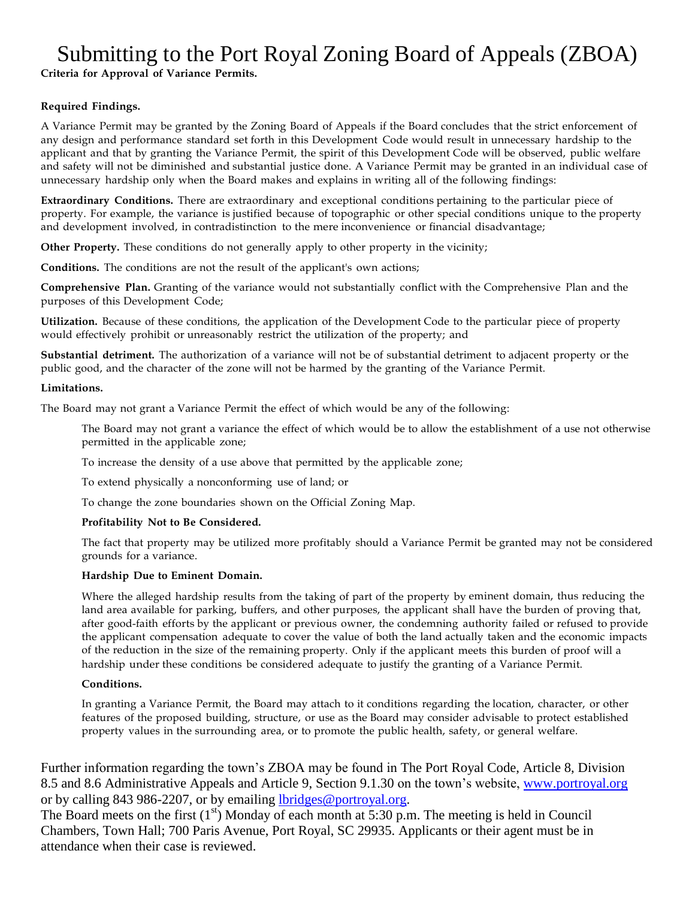# Submitting to the Port Royal Zoning Board of Appeals (ZBOA)

**Criteria for Approval of Variance Permits.**

## **Required Findings.**

A Variance Permit may be granted by the Zoning Board of Appeals if the Board concludes that the strict enforcement of any design and performance standard set forth in this Development Code would result in unnecessary hardship to the applicant and that by granting the Variance Permit, the spirit of this Development Code will be observed, public welfare and safety will not be diminished and substantial justice done. A Variance Permit may be granted in an individual case of unnecessary hardship only when the Board makes and explains in writing all of the following findings:

**Extraordinary Conditions.** There are extraordinary and exceptional conditions pertaining to the particular piece of property. For example, the variance is justified because of topographic or other special conditions unique to the property and development involved, in contradistinction to the mere inconvenience or financial disadvantage;

**Other Property.** These conditions do not generally apply to other property in the vicinity;

**Conditions.** The conditions are not the result of the applicant's own actions;

**Comprehensive Plan.** Granting of the variance would not substantially conflict with the Comprehensive Plan and the purposes of this Development Code;

**Utilization.** Because of these conditions, the application of the Development Code to the particular piece of property would effectively prohibit or unreasonably restrict the utilization of the property; and

**Substantial detriment.** The authorization of a variance will not be of substantial detriment to adjacent property or the public good, and the character of the zone will not be harmed by the granting of the Variance Permit.

#### **Limitations.**

The Board may not grant a Variance Permit the effect of which would be any of the following:

The Board may not grant a variance the effect of which would be to allow the establishment of a use not otherwise permitted in the applicable zone;

To increase the density of a use above that permitted by the applicable zone;

To extend physically a nonconforming use of land; or

To change the zone boundaries shown on the Official Zoning Map.

### **Profitability Not to Be Considered.**

The fact that property may be utilized more profitably should a Variance Permit be granted may not be considered grounds for a variance.

### **Hardship Due to Eminent Domain.**

Where the alleged hardship results from the taking of part of the property by eminent domain, thus reducing the land area available for parking, buffers, and other purposes, the applicant shall have the burden of proving that, after good-faith efforts by the applicant or previous owner, the condemning authority failed or refused to provide the applicant compensation adequate to cover the value of both the land actually taken and the economic impacts of the reduction in the size of the remaining property. Only if the applicant meets this burden of proof will a hardship under these conditions be considered adequate to justify the granting of a Variance Permit.

### **Conditions.**

In granting a Variance Permit, the Board may attach to it conditions regarding the location, character, or other features of the proposed building, structure, or use as the Board may consider advisable to protect established property values in the surrounding area, or to promote the public health, safety, or general welfare.

Further information regarding the town's ZBOA may be found in The Port Royal Code, Article 8, Division 8.5 and 8.6 Administrative Appeals and Article 9, Section 9.1.30 on the town's website, [www.portroyal.org](http://www.portroyal.org/) or by calling 843 986-2207, or by emailing [lbridges@portroyal.org.](mailto:lbridges@portroyal.org)

The Board meets on the first  $(1<sup>st</sup>)$  Monday of each month at 5:30 p.m. The meeting is held in Council Chambers, Town Hall; 700 Paris Avenue, Port Royal, SC 29935. Applicants or their agent must be in attendance when their case is reviewed.